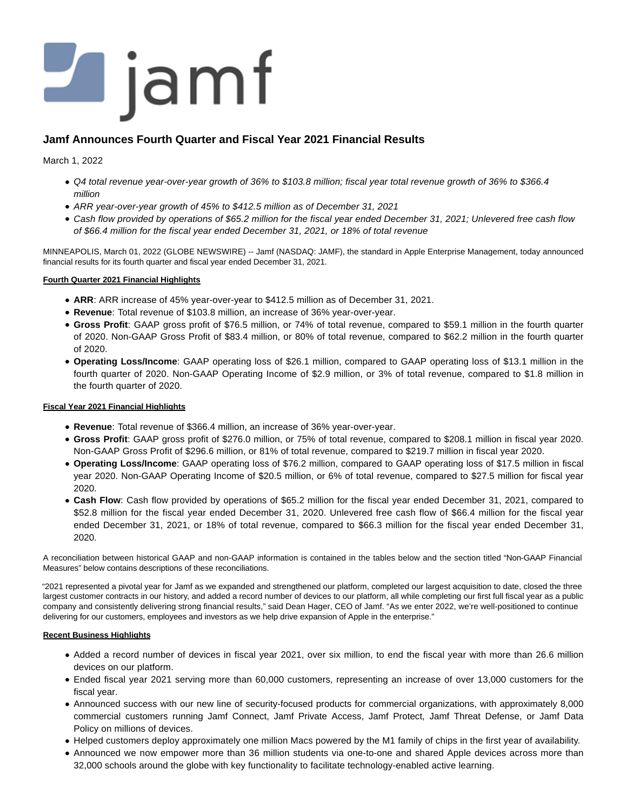

# **Jamf Announces Fourth Quarter and Fiscal Year 2021 Financial Results**

March 1, 2022

- Q4 total revenue year-over-year growth of 36% to \$103.8 million; fiscal year total revenue growth of 36% to \$366.4 million
- ARR year-over-year growth of 45% to \$412.5 million as of December 31, 2021
- Cash flow provided by operations of \$65.2 million for the fiscal year ended December 31, 2021; Unlevered free cash flow of \$66.4 million for the fiscal year ended December 31, 2021, or 18% of total revenue

MINNEAPOLIS, March 01, 2022 (GLOBE NEWSWIRE) -- Jamf (NASDAQ: JAMF), the standard in Apple Enterprise Management, today announced financial results for its fourth quarter and fiscal year ended December 31, 2021.

# **Fourth Quarter 2021 Financial Highlights**

- **ARR**: ARR increase of 45% year-over-year to \$412.5 million as of December 31, 2021.
- **Revenue**: Total revenue of \$103.8 million, an increase of 36% year-over-year.
- **Gross Profit**: GAAP gross profit of \$76.5 million, or 74% of total revenue, compared to \$59.1 million in the fourth quarter of 2020. Non-GAAP Gross Profit of \$83.4 million, or 80% of total revenue, compared to \$62.2 million in the fourth quarter of 2020.
- **Operating Loss/Income**: GAAP operating loss of \$26.1 million, compared to GAAP operating loss of \$13.1 million in the fourth quarter of 2020. Non-GAAP Operating Income of \$2.9 million, or 3% of total revenue, compared to \$1.8 million in the fourth quarter of 2020.

# **Fiscal Year 2021 Financial Highlights**

- **Revenue**: Total revenue of \$366.4 million, an increase of 36% year-over-year.
- **Gross Profit**: GAAP gross profit of \$276.0 million, or 75% of total revenue, compared to \$208.1 million in fiscal year 2020. Non-GAAP Gross Profit of \$296.6 million, or 81% of total revenue, compared to \$219.7 million in fiscal year 2020.
- **Operating Loss/Income**: GAAP operating loss of \$76.2 million, compared to GAAP operating loss of \$17.5 million in fiscal year 2020. Non-GAAP Operating Income of \$20.5 million, or 6% of total revenue, compared to \$27.5 million for fiscal year 2020.
- **Cash Flow**: Cash flow provided by operations of \$65.2 million for the fiscal year ended December 31, 2021, compared to \$52.8 million for the fiscal year ended December 31, 2020. Unlevered free cash flow of \$66.4 million for the fiscal year ended December 31, 2021, or 18% of total revenue, compared to \$66.3 million for the fiscal year ended December 31, 2020.

A reconciliation between historical GAAP and non-GAAP information is contained in the tables below and the section titled "Non-GAAP Financial Measures" below contains descriptions of these reconciliations.

"2021 represented a pivotal year for Jamf as we expanded and strengthened our platform, completed our largest acquisition to date, closed the three largest customer contracts in our history, and added a record number of devices to our platform, all while completing our first full fiscal year as a public company and consistently delivering strong financial results," said Dean Hager, CEO of Jamf. "As we enter 2022, we're well-positioned to continue delivering for our customers, employees and investors as we help drive expansion of Apple in the enterprise."

# **Recent Business Highlights**

- Added a record number of devices in fiscal year 2021, over six million, to end the fiscal year with more than 26.6 million devices on our platform.
- Ended fiscal year 2021 serving more than 60,000 customers, representing an increase of over 13,000 customers for the fiscal year.
- Announced success with our new line of security-focused products for commercial organizations, with approximately 8,000 commercial customers running Jamf Connect, Jamf Private Access, Jamf Protect, Jamf Threat Defense, or Jamf Data Policy on millions of devices.
- Helped customers deploy approximately one million Macs powered by the M1 family of chips in the first year of availability.
- Announced we now empower more than 36 million students via one-to-one and shared Apple devices across more than 32,000 schools around the globe with key functionality to facilitate technology-enabled active learning.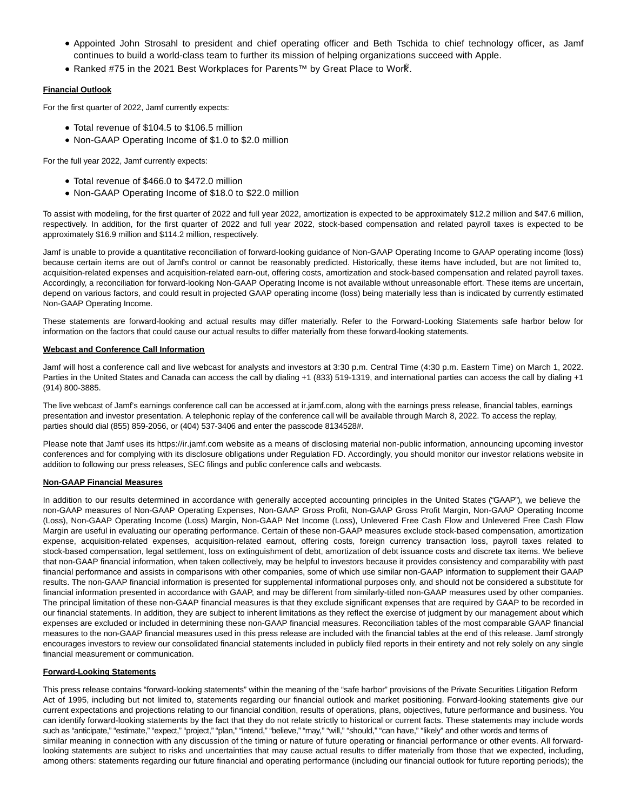- Appointed John Strosahl to president and chief operating officer and Beth Tschida to chief technology officer, as Jamf continues to build a world-class team to further its mission of helping organizations succeed with Apple.
- Ranked #75 in the 2021 Best Workplaces for Parents™ by Great Place to Wor<sup>®</sup>.

# **Financial Outlook**

For the first quarter of 2022, Jamf currently expects:

- Total revenue of \$104.5 to \$106.5 million
- Non-GAAP Operating Income of \$1.0 to \$2.0 million

For the full year 2022, Jamf currently expects:

- Total revenue of \$466.0 to \$472.0 million
- Non-GAAP Operating Income of \$18.0 to \$22.0 million

To assist with modeling, for the first quarter of 2022 and full year 2022, amortization is expected to be approximately \$12.2 million and \$47.6 million, respectively. In addition, for the first quarter of 2022 and full year 2022, stock-based compensation and related payroll taxes is expected to be approximately \$16.9 million and \$114.2 million, respectively.

Jamf is unable to provide a quantitative reconciliation of forward-looking guidance of Non-GAAP Operating Income to GAAP operating income (loss) because certain items are out of Jamf's control or cannot be reasonably predicted. Historically, these items have included, but are not limited to, acquisition-related expenses and acquisition-related earn-out, offering costs, amortization and stock-based compensation and related payroll taxes. Accordingly, a reconciliation for forward-looking Non-GAAP Operating Income is not available without unreasonable effort. These items are uncertain, depend on various factors, and could result in projected GAAP operating income (loss) being materially less than is indicated by currently estimated Non-GAAP Operating Income.

These statements are forward-looking and actual results may differ materially. Refer to the Forward-Looking Statements safe harbor below for information on the factors that could cause our actual results to differ materially from these forward-looking statements.

# **Webcast and Conference Call Information**

Jamf will host a conference call and live webcast for analysts and investors at 3:30 p.m. Central Time (4:30 p.m. Eastern Time) on March 1, 2022. Parties in the United States and Canada can access the call by dialing +1 (833) 519-1319, and international parties can access the call by dialing +1 (914) 800-3885.

The live webcast of Jamf's earnings conference call can be accessed at ir.jamf.com, along with the earnings press release, financial tables, earnings presentation and investor presentation. A telephonic replay of the conference call will be available through March 8, 2022. To access the replay, parties should dial (855) 859-2056, or (404) 537-3406 and enter the passcode 8134528#.

Please note that Jamf uses its https://ir.jamf.com website as a means of disclosing material non-public information, announcing upcoming investor conferences and for complying with its disclosure obligations under Regulation FD. Accordingly, you should monitor our investor relations website in addition to following our press releases, SEC filings and public conference calls and webcasts.

#### **Non-GAAP Financial Measures**

In addition to our results determined in accordance with generally accepted accounting principles in the United States ("GAAP"), we believe the non-GAAP measures of Non-GAAP Operating Expenses, Non-GAAP Gross Profit, Non-GAAP Gross Profit Margin, Non-GAAP Operating Income (Loss), Non-GAAP Operating Income (Loss) Margin, Non-GAAP Net Income (Loss), Unlevered Free Cash Flow and Unlevered Free Cash Flow Margin are useful in evaluating our operating performance. Certain of these non-GAAP measures exclude stock-based compensation, amortization expense, acquisition-related expenses, acquisition-related earnout, offering costs, foreign currency transaction loss, payroll taxes related to stock-based compensation, legal settlement, loss on extinguishment of debt, amortization of debt issuance costs and discrete tax items. We believe that non-GAAP financial information, when taken collectively, may be helpful to investors because it provides consistency and comparability with past financial performance and assists in comparisons with other companies, some of which use similar non-GAAP information to supplement their GAAP results. The non-GAAP financial information is presented for supplemental informational purposes only, and should not be considered a substitute for financial information presented in accordance with GAAP, and may be different from similarly-titled non-GAAP measures used by other companies. The principal limitation of these non-GAAP financial measures is that they exclude significant expenses that are required by GAAP to be recorded in our financial statements. In addition, they are subject to inherent limitations as they reflect the exercise of judgment by our management about which expenses are excluded or included in determining these non-GAAP financial measures. Reconciliation tables of the most comparable GAAP financial measures to the non-GAAP financial measures used in this press release are included with the financial tables at the end of this release. Jamf strongly encourages investors to review our consolidated financial statements included in publicly filed reports in their entirety and not rely solely on any single financial measurement or communication.

# **Forward-Looking Statements**

This press release contains "forward-looking statements" within the meaning of the "safe harbor" provisions of the Private Securities Litigation Reform Act of 1995, including but not limited to, statements regarding our financial outlook and market positioning. Forward-looking statements give our current expectations and projections relating to our financial condition, results of operations, plans, objectives, future performance and business. You can identify forward-looking statements by the fact that they do not relate strictly to historical or current facts. These statements may include words such as "anticipate," "estimate," "expect," "project," "plan," "intend," "believe," "may," "will," "should," "can have," "likely" and other words and terms of similar meaning in connection with any discussion of the timing or nature of future operating or financial performance or other events. All forwardlooking statements are subject to risks and uncertainties that may cause actual results to differ materially from those that we expected, including, among others: statements regarding our future financial and operating performance (including our financial outlook for future reporting periods); the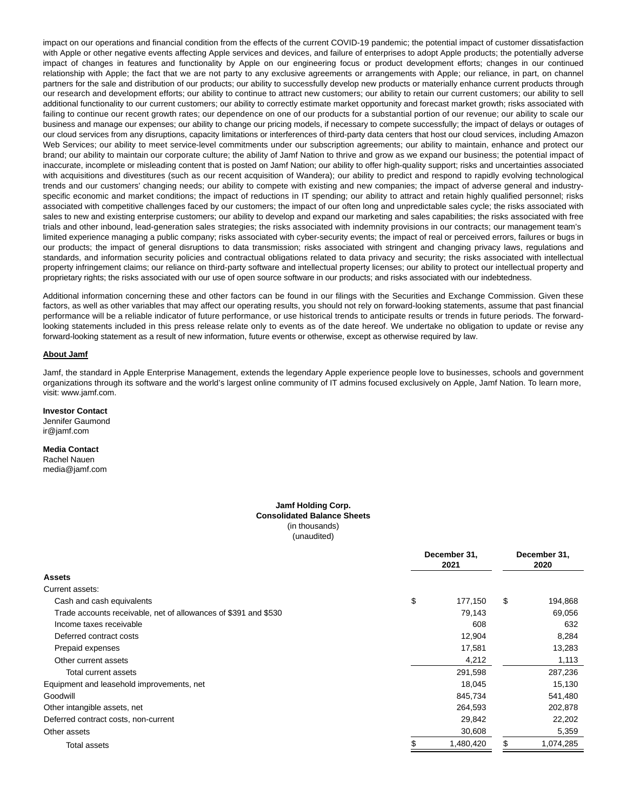impact on our operations and financial condition from the effects of the current COVID-19 pandemic; the potential impact of customer dissatisfaction with Apple or other negative events affecting Apple services and devices, and failure of enterprises to adopt Apple products; the potentially adverse impact of changes in features and functionality by Apple on our engineering focus or product development efforts; changes in our continued relationship with Apple; the fact that we are not party to any exclusive agreements or arrangements with Apple; our reliance, in part, on channel partners for the sale and distribution of our products; our ability to successfully develop new products or materially enhance current products through our research and development efforts; our ability to continue to attract new customers; our ability to retain our current customers; our ability to sell additional functionality to our current customers; our ability to correctly estimate market opportunity and forecast market growth; risks associated with failing to continue our recent growth rates; our dependence on one of our products for a substantial portion of our revenue; our ability to scale our business and manage our expenses; our ability to change our pricing models, if necessary to compete successfully; the impact of delays or outages of our cloud services from any disruptions, capacity limitations or interferences of third-party data centers that host our cloud services, including Amazon Web Services; our ability to meet service-level commitments under our subscription agreements; our ability to maintain, enhance and protect our brand; our ability to maintain our corporate culture; the ability of Jamf Nation to thrive and grow as we expand our business; the potential impact of inaccurate, incomplete or misleading content that is posted on Jamf Nation; our ability to offer high-quality support; risks and uncertainties associated with acquisitions and divestitures (such as our recent acquisition of Wandera); our ability to predict and respond to rapidly evolving technological trends and our customers' changing needs; our ability to compete with existing and new companies; the impact of adverse general and industryspecific economic and market conditions; the impact of reductions in IT spending; our ability to attract and retain highly qualified personnel; risks associated with competitive challenges faced by our customers; the impact of our often long and unpredictable sales cycle; the risks associated with sales to new and existing enterprise customers; our ability to develop and expand our marketing and sales capabilities; the risks associated with free trials and other inbound, lead-generation sales strategies; the risks associated with indemnity provisions in our contracts; our management team's limited experience managing a public company; risks associated with cyber-security events; the impact of real or perceived errors, failures or bugs in our products; the impact of general disruptions to data transmission; risks associated with stringent and changing privacy laws, regulations and standards, and information security policies and contractual obligations related to data privacy and security; the risks associated with intellectual property infringement claims; our reliance on third-party software and intellectual property licenses; our ability to protect our intellectual property and proprietary rights; the risks associated with our use of open source software in our products; and risks associated with our indebtedness.

Additional information concerning these and other factors can be found in our filings with the Securities and Exchange Commission. Given these factors, as well as other variables that may affect our operating results, you should not rely on forward-looking statements, assume that past financial performance will be a reliable indicator of future performance, or use historical trends to anticipate results or trends in future periods. The forwardlooking statements included in this press release relate only to events as of the date hereof. We undertake no obligation to update or revise any forward-looking statement as a result of new information, future events or otherwise, except as otherwise required by law.

# **About Jamf**

Jamf, the standard in Apple Enterprise Management, extends the legendary Apple experience people love to businesses, schools and government organizations through its software and the world's largest online community of IT admins focused exclusively on Apple, Jamf Nation. To learn more, visit: www.jamf.com.

#### **Investor Contact**

Jennifer Gaumond ir@jamf.com

#### **Media Contact**

Rachel Nauen media@jamf.com

#### **Jamf Holding Corp. Consolidated Balance Sheets** (in thousands) (unaudited)

|                                                                 | December 31, | December 31,<br>2020 |                 |
|-----------------------------------------------------------------|--------------|----------------------|-----------------|
| <b>Assets</b>                                                   |              |                      |                 |
| Current assets:                                                 |              |                      |                 |
| Cash and cash equivalents                                       | \$           | 177,150              | \$<br>194,868   |
| Trade accounts receivable, net of allowances of \$391 and \$530 |              | 79,143               | 69,056          |
| Income taxes receivable                                         |              | 608                  | 632             |
| Deferred contract costs                                         |              | 12,904               | 8,284           |
| Prepaid expenses                                                |              | 17,581               | 13,283          |
| Other current assets                                            |              | 4,212                | 1,113           |
| Total current assets                                            |              | 291,598              | 287,236         |
| Equipment and leasehold improvements, net                       |              | 18,045               | 15,130          |
| Goodwill                                                        |              | 845,734              | 541,480         |
| Other intangible assets, net                                    |              | 264,593              | 202,878         |
| Deferred contract costs, non-current                            |              | 29,842               | 22,202          |
| Other assets                                                    |              | 30,608               | 5,359           |
| Total assets                                                    |              | 1,480,420            | \$<br>1,074,285 |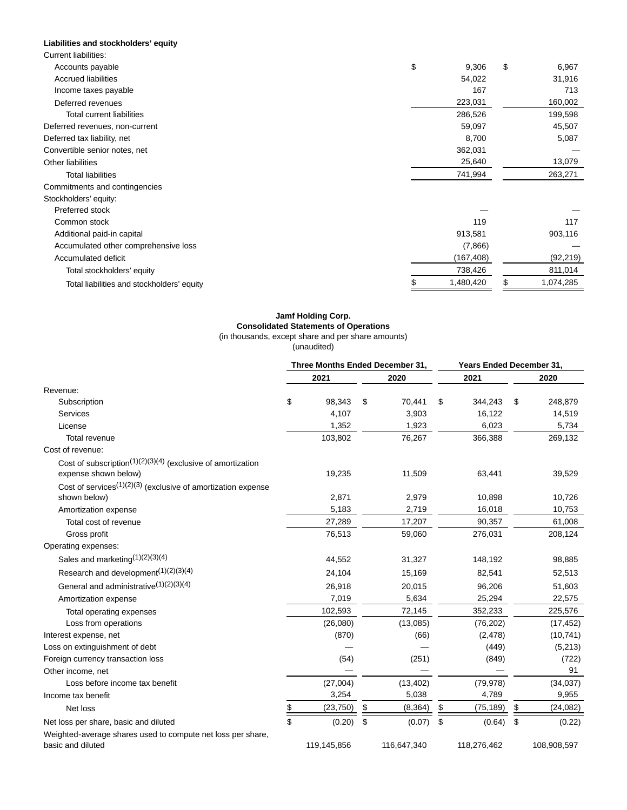#### **Liabilities and stockholders' equity**

| Current liabilities:                       |             |                 |
|--------------------------------------------|-------------|-----------------|
|                                            |             |                 |
| Accounts payable                           | \$<br>9,306 | \$<br>6,967     |
| <b>Accrued liabilities</b>                 | 54,022      | 31,916          |
| Income taxes payable                       | 167         | 713             |
| Deferred revenues                          | 223,031     | 160,002         |
| <b>Total current liabilities</b>           | 286,526     | 199,598         |
| Deferred revenues, non-current             | 59,097      | 45,507          |
| Deferred tax liability, net                | 8,700       | 5,087           |
| Convertible senior notes, net              | 362,031     |                 |
| Other liabilities                          | 25,640      | 13,079          |
| <b>Total liabilities</b>                   | 741,994     | 263,271         |
| Commitments and contingencies              |             |                 |
| Stockholders' equity:                      |             |                 |
| Preferred stock                            |             |                 |
| Common stock                               | 119         | 117             |
| Additional paid-in capital                 | 913,581     | 903,116         |
| Accumulated other comprehensive loss       | (7,866)     |                 |
| Accumulated deficit                        | (167, 408)  | (92, 219)       |
| Total stockholders' equity                 | 738,426     | 811,014         |
| Total liabilities and stockholders' equity | 1,480,420   | \$<br>1,074,285 |

#### **Jamf Holding Corp. Consolidated Statements of Operations** (in thousands, except share and per share amounts)

(unaudited)

|                                                                                       |               |             | Three Months Ended December 31, |             |    |             | <b>Years Ended December 31,</b> |             |  |
|---------------------------------------------------------------------------------------|---------------|-------------|---------------------------------|-------------|----|-------------|---------------------------------|-------------|--|
|                                                                                       |               | 2021        |                                 | 2020        |    | 2021        |                                 | 2020        |  |
| Revenue:                                                                              |               |             |                                 |             |    |             |                                 |             |  |
| Subscription                                                                          | \$            | 98,343      | \$                              | 70,441      | \$ | 344,243     | \$                              | 248,879     |  |
| Services                                                                              |               | 4,107       |                                 | 3,903       |    | 16,122      |                                 | 14,519      |  |
| License                                                                               |               | 1,352       |                                 | 1,923       |    | 6,023       |                                 | 5,734       |  |
| Total revenue                                                                         |               | 103,802     |                                 | 76,267      |    | 366,388     |                                 | 269,132     |  |
| Cost of revenue:                                                                      |               |             |                                 |             |    |             |                                 |             |  |
| Cost of subscription <sup>(1)(2)(3)(4)</sup> (exclusive of amortization               |               |             |                                 |             |    |             |                                 |             |  |
| expense shown below)                                                                  |               | 19,235      |                                 | 11,509      |    | 63,441      |                                 | 39,529      |  |
| Cost of services <sup><math>(1)(2)(3)</math></sup> (exclusive of amortization expense |               |             |                                 |             |    |             |                                 |             |  |
| shown below)                                                                          |               | 2,871       |                                 | 2,979       |    | 10,898      |                                 | 10,726      |  |
| Amortization expense                                                                  |               | 5,183       |                                 | 2,719       |    | 16,018      |                                 | 10,753      |  |
| Total cost of revenue                                                                 |               | 27,289      |                                 | 17,207      |    | 90,357      |                                 | 61,008      |  |
| Gross profit                                                                          |               | 76,513      |                                 | 59,060      |    | 276,031     |                                 | 208,124     |  |
| Operating expenses:                                                                   |               |             |                                 |             |    |             |                                 |             |  |
| Sales and marketing $(1)(2)(3)(4)$                                                    |               | 44,552      |                                 | 31,327      |    | 148,192     |                                 | 98,885      |  |
| Research and development $(1)(2)(3)(4)$                                               |               | 24,104      |                                 | 15,169      |    | 82,541      |                                 | 52,513      |  |
| General and administrative <sup>(1)(2)(3)(4)</sup>                                    |               | 26,918      |                                 | 20,015      |    | 96,206      |                                 | 51,603      |  |
| Amortization expense                                                                  |               | 7,019       |                                 | 5,634       |    | 25,294      |                                 | 22,575      |  |
| Total operating expenses                                                              |               | 102,593     |                                 | 72,145      |    | 352,233     |                                 | 225,576     |  |
| Loss from operations                                                                  |               | (26,080)    |                                 | (13,085)    |    | (76, 202)   |                                 | (17, 452)   |  |
| Interest expense, net                                                                 |               | (870)       |                                 | (66)        |    | (2, 478)    |                                 | (10, 741)   |  |
| Loss on extinguishment of debt                                                        |               |             |                                 |             |    | (449)       |                                 | (5,213)     |  |
| Foreign currency transaction loss                                                     |               | (54)        |                                 | (251)       |    | (849)       |                                 | (722)       |  |
| Other income, net                                                                     |               |             |                                 |             |    |             |                                 | 91          |  |
| Loss before income tax benefit                                                        |               | (27,004)    |                                 | (13, 402)   |    | (79, 978)   |                                 | (34,037)    |  |
| Income tax benefit                                                                    |               | 3,254       |                                 | 5,038       |    | 4,789       |                                 | 9,955       |  |
| Net loss                                                                              | $\frac{1}{2}$ | (23, 750)   | \$                              | (8, 364)    | \$ | (75, 189)   | \$                              | (24,082)    |  |
| Net loss per share, basic and diluted                                                 | \$            | (0.20)      | \$                              | (0.07)      | \$ | (0.64)      | \$                              | (0.22)      |  |
| Weighted-average shares used to compute net loss per share,<br>basic and diluted      |               | 119,145,856 |                                 | 116,647,340 |    | 118,276,462 |                                 | 108,908,597 |  |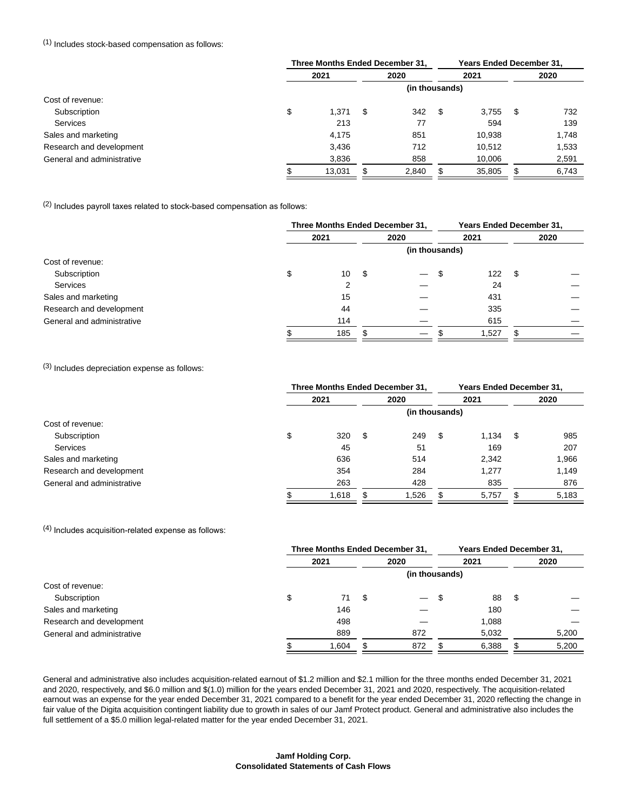# (1) Includes stock-based compensation as follows:

|                            | Three Months Ended December 31, |        |      |                | <b>Years Ended December 31,</b> |        |      |       |
|----------------------------|---------------------------------|--------|------|----------------|---------------------------------|--------|------|-------|
|                            | 2021                            |        | 2020 |                | 2021                            |        |      | 2020  |
|                            |                                 |        |      | (in thousands) |                                 |        |      |       |
| Cost of revenue:           |                                 |        |      |                |                                 |        |      |       |
| Subscription               | \$                              | 1,371  | - \$ | 342            | \$                              | 3,755  | - \$ | 732   |
| <b>Services</b>            |                                 | 213    |      | 77             |                                 | 594    |      | 139   |
| Sales and marketing        |                                 | 4,175  |      | 851            |                                 | 10,938 |      | 1,748 |
| Research and development   |                                 | 3,436  |      | 712            |                                 | 10,512 |      | 1,533 |
| General and administrative |                                 | 3,836  |      | 858            |                                 | 10,006 |      | 2,591 |
|                            |                                 | 13,031 |      | 2,840          |                                 | 35,805 |      | 6,743 |

(2) Includes payroll taxes related to stock-based compensation as follows:

|                            |   | Three Months Ended December 31, |      |                |     |       | <b>Years Ended December 31,</b> |      |  |
|----------------------------|---|---------------------------------|------|----------------|-----|-------|---------------------------------|------|--|
|                            |   | 2021                            |      | 2020           |     | 2021  |                                 | 2020 |  |
|                            |   |                                 |      | (in thousands) |     |       |                                 |      |  |
| Cost of revenue:           |   |                                 |      |                |     |       |                                 |      |  |
| Subscription               | S | 10                              | - 35 |                | - 5 | 122   | \$                              |      |  |
| Services                   |   | 2                               |      |                |     | 24    |                                 |      |  |
| Sales and marketing        |   | 15                              |      |                |     | 431   |                                 |      |  |
| Research and development   |   | 44                              |      |                |     | 335   |                                 |      |  |
| General and administrative |   | 114                             |      |                |     | 615   |                                 |      |  |
|                            |   | 185                             |      |                |     | 1,527 | S                               |      |  |

(3) Includes depreciation expense as follows:

|      |       |    |        | Years Ended December 31,        |       |                |       |  |
|------|-------|----|--------|---------------------------------|-------|----------------|-------|--|
| 2021 |       |    | 2020   | 2021                            |       |                | 2020  |  |
|      |       |    |        |                                 |       |                |       |  |
|      |       |    |        |                                 |       |                |       |  |
| \$   | 320   | \$ | 249    | \$                              | 1,134 | \$             | 985   |  |
|      | 45    |    | 51     |                                 | 169   |                | 207   |  |
|      | 636   |    | 514    |                                 | 2,342 |                | 1,966 |  |
|      | 354   |    | 284    |                                 | 1.277 |                | 1.149 |  |
|      | 263   |    | 428    |                                 | 835   |                | 876   |  |
|      | 1,618 |    | 526. ا |                                 | 5,757 |                | 5,183 |  |
|      |       |    |        | Three Months Ended December 31, |       | (in thousands) |       |  |

(4) Includes acquisition-related expense as follows:

|                            |   | Three Months Ended December 31, |    |                   |      |       | <b>Years Ended December 31,</b> |       |  |
|----------------------------|---|---------------------------------|----|-------------------|------|-------|---------------------------------|-------|--|
|                            |   | 2021                            |    | 2020              | 2021 |       |                                 | 2020  |  |
|                            |   |                                 |    | (in thousands)    |      |       |                                 |       |  |
| Cost of revenue:           |   |                                 |    |                   |      |       |                                 |       |  |
| Subscription               | J | 71                              | S. | $\hspace{0.05cm}$ | ৾ঌ   | 88    | - \$                            |       |  |
| Sales and marketing        |   | 146                             |    |                   |      | 180   |                                 |       |  |
| Research and development   |   | 498                             |    |                   |      | 1,088 |                                 |       |  |
| General and administrative |   | 889                             |    | 872               |      | 5,032 |                                 | 5,200 |  |
|                            |   | 1,604                           |    | 872               |      | 6,388 |                                 | 5,200 |  |

General and administrative also includes acquisition-related earnout of \$1.2 million and \$2.1 million for the three months ended December 31, 2021 and 2020, respectively, and \$6.0 million and \$(1.0) million for the years ended December 31, 2021 and 2020, respectively. The acquisition-related earnout was an expense for the year ended December 31, 2021 compared to a benefit for the year ended December 31, 2020 reflecting the change in fair value of the Digita acquisition contingent liability due to growth in sales of our Jamf Protect product. General and administrative also includes the full settlement of a \$5.0 million legal-related matter for the year ended December 31, 2021.

### **Jamf Holding Corp. Consolidated Statements of Cash Flows**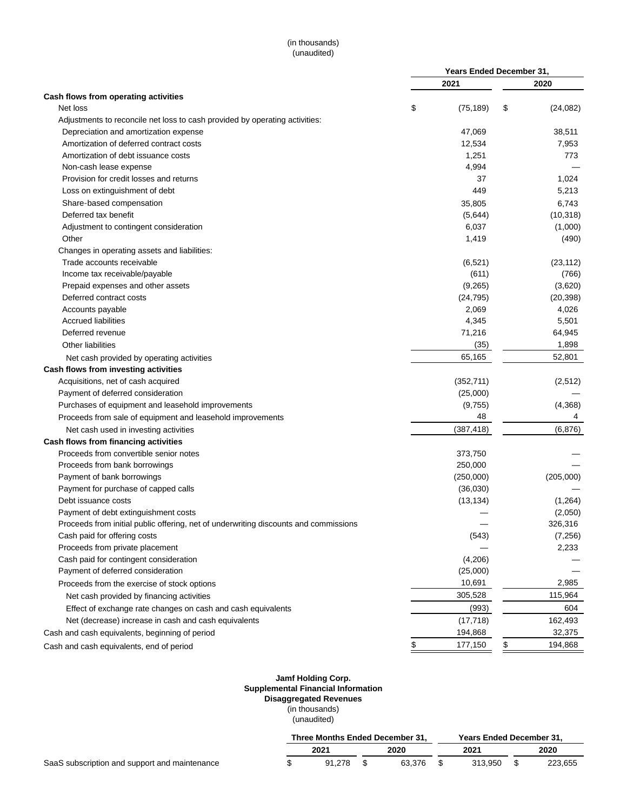# (in thousands) (unaudited)

|                                                                                      | <b>Years Ended December 31,</b> |                |
|--------------------------------------------------------------------------------------|---------------------------------|----------------|
|                                                                                      | 2021                            | 2020           |
| Cash flows from operating activities                                                 |                                 |                |
| Net loss                                                                             | \$<br>(75, 189)                 | \$<br>(24,082) |
| Adjustments to reconcile net loss to cash provided by operating activities:          |                                 |                |
| Depreciation and amortization expense                                                | 47,069                          | 38,511         |
| Amortization of deferred contract costs                                              | 12,534                          | 7,953          |
| Amortization of debt issuance costs                                                  | 1,251                           | 773            |
| Non-cash lease expense                                                               | 4,994                           |                |
| Provision for credit losses and returns                                              | 37                              | 1,024          |
| Loss on extinguishment of debt                                                       | 449                             | 5,213          |
| Share-based compensation                                                             | 35,805                          | 6,743          |
| Deferred tax benefit                                                                 | (5,644)                         | (10, 318)      |
| Adjustment to contingent consideration                                               | 6,037                           | (1,000)        |
| Other                                                                                | 1,419                           | (490)          |
| Changes in operating assets and liabilities:                                         |                                 |                |
| Trade accounts receivable                                                            | (6,521)                         | (23, 112)      |
| Income tax receivable/payable                                                        | (611)                           | (766)          |
| Prepaid expenses and other assets                                                    | (9,265)                         | (3,620)        |
| Deferred contract costs                                                              | (24, 795)                       | (20, 398)      |
| Accounts payable                                                                     | 2,069                           | 4,026          |
| <b>Accrued liabilities</b>                                                           | 4,345                           | 5,501          |
| Deferred revenue                                                                     | 71,216                          | 64,945         |
| <b>Other liabilities</b>                                                             | (35)                            | 1,898          |
| Net cash provided by operating activities                                            | 65,165                          | 52,801         |
| Cash flows from investing activities                                                 |                                 |                |
| Acquisitions, net of cash acquired                                                   | (352, 711)                      | (2,512)        |
| Payment of deferred consideration                                                    | (25,000)                        |                |
| Purchases of equipment and leasehold improvements                                    | (9,755)                         | (4,368)        |
|                                                                                      | 48                              |                |
| Proceeds from sale of equipment and leasehold improvements                           |                                 |                |
| Net cash used in investing activities                                                | (387, 418)                      | (6, 876)       |
| Cash flows from financing activities                                                 |                                 |                |
| Proceeds from convertible senior notes                                               | 373,750                         |                |
| Proceeds from bank borrowings                                                        | 250,000                         |                |
| Payment of bank borrowings                                                           | (250,000)                       | (205,000)      |
| Payment for purchase of capped calls                                                 | (36,030)                        |                |
| Debt issuance costs                                                                  | (13, 134)                       | (1,264)        |
| Payment of debt extinguishment costs                                                 |                                 | (2,050)        |
| Proceeds from initial public offering, net of underwriting discounts and commissions |                                 | 326,316        |
| Cash paid for offering costs                                                         | (543)                           | (7, 256)       |
| Proceeds from private placement                                                      |                                 | 2,233          |
| Cash paid for contingent consideration                                               | (4,206)                         |                |
| Payment of deferred consideration                                                    | (25,000)                        |                |
| Proceeds from the exercise of stock options                                          | 10,691                          | 2,985          |
| Net cash provided by financing activities                                            | 305,528                         | 115,964        |
| Effect of exchange rate changes on cash and cash equivalents                         | (993)                           | 604            |
| Net (decrease) increase in cash and cash equivalents                                 | (17, 718)                       | 162,493        |
| Cash and cash equivalents, beginning of period                                       | 194,868                         | 32,375         |
| Cash and cash equivalents, end of period                                             | \$<br>177,150                   | \$<br>194,868  |

#### **Jamf Holding Corp. Supplemental Financial Information Disaggregated Revenues** (in thousands)

(unaudited)

|                                               |                          |              |  | Three Months Ended December 31. | <b>Years Ended December 31,</b> |         |  |         |  |
|-----------------------------------------------|--------------------------|--------------|--|---------------------------------|---------------------------------|---------|--|---------|--|
|                                               | 202 <sup>.</sup><br>2020 |              |  | 2021                            |                                 | 2020    |  |         |  |
| SaaS subscription and support and maintenance |                          | 91.278<br>Ω1 |  |                                 |                                 | 313.950 |  | 223.655 |  |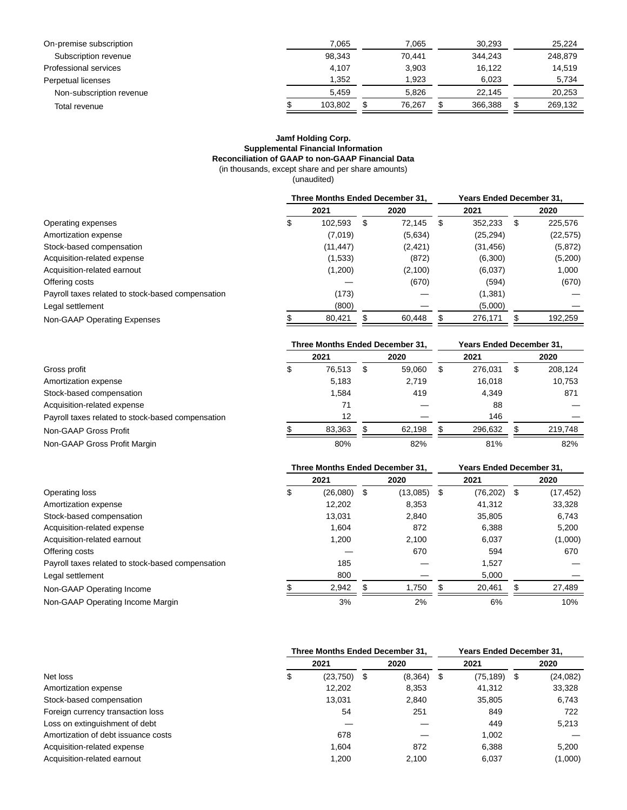| On-premise subscription  | 7.065   | 7.065  | 30.293  | 25.224  |
|--------------------------|---------|--------|---------|---------|
| Subscription revenue     | 98,343  | 70.441 | 344.243 | 248,879 |
| Professional services    | 4.107   | 3.903  | 16.122  | 14.519  |
| Perpetual licenses       | 1.352   | 1,923  | 6.023   | 5,734   |
| Non-subscription revenue | 5.459   | 5.826  | 22.145  | 20,253  |
| Total revenue            | 103.802 | 76,267 | 366,388 | 269,132 |

#### **Jamf Holding Corp. Supplemental Financial Information Reconciliation of GAAP to non-GAAP Financial Data** (in thousands, except share and per share amounts) (unaudited)

|                                                   | Three Months Ended December 31, |           |   |          | <b>Years Ended December 31.</b> |           |   |           |
|---------------------------------------------------|---------------------------------|-----------|---|----------|---------------------------------|-----------|---|-----------|
|                                                   |                                 | 2021      |   | 2020     |                                 | 2021      |   | 2020      |
| Operating expenses                                |                                 | 102.593   | S | 72.145   | S                               | 352.233   | S | 225,576   |
| Amortization expense                              |                                 | (7,019)   |   | (5,634)  |                                 | (25, 294) |   | (22, 575) |
| Stock-based compensation                          |                                 | (11, 447) |   | (2, 421) |                                 | (31, 456) |   | (5, 872)  |
| Acquisition-related expense                       |                                 | (1,533)   |   | (872)    |                                 | (6,300)   |   | (5,200)   |
| Acquisition-related earnout                       |                                 | (1,200)   |   | (2,100)  |                                 | (6,037)   |   | 1,000     |
| Offering costs                                    |                                 |           |   | (670)    |                                 | (594)     |   | (670)     |
| Payroll taxes related to stock-based compensation |                                 | (173)     |   |          |                                 | (1, 381)  |   |           |
| Legal settlement                                  |                                 | (800)     |   |          |                                 | (5,000)   |   |           |
| Non-GAAP Operating Expenses                       |                                 | 80,421    |   | 60,448   |                                 | 276,171   |   | 192,259   |

|                                                   | Three Months Ended December 31, |        |   |        |    | <b>Years Ended December 31.</b> |   |         |  |
|---------------------------------------------------|---------------------------------|--------|---|--------|----|---------------------------------|---|---------|--|
|                                                   |                                 | 2021   |   | 2020   |    | 2021                            |   | 2020    |  |
| Gross profit                                      | Φ                               | 76.513 | S | 59.060 | æ. | 276.031                         | S | 208.124 |  |
| Amortization expense                              |                                 | 5.183  |   | 2.719  |    | 16.018                          |   | 10.753  |  |
| Stock-based compensation                          |                                 | 1,584  |   | 419    |    | 4.349                           |   | 871     |  |
| Acquisition-related expense                       |                                 | 71     |   |        |    | 88                              |   |         |  |
| Payroll taxes related to stock-based compensation |                                 | 12     |   |        |    | 146                             |   |         |  |
| Non-GAAP Gross Profit                             |                                 | 83,363 |   | 62,198 |    | 296.632                         |   | 219.748 |  |
| Non-GAAP Gross Profit Margin                      |                                 | 80%    |   | 82%    |    | 81%                             |   | 82%     |  |

|                                                   | Three Months Ended December 31. |          |  |          |      | <b>Years Ended December 31.</b> |     |           |  |
|---------------------------------------------------|---------------------------------|----------|--|----------|------|---------------------------------|-----|-----------|--|
|                                                   |                                 | 2021     |  | 2020     |      | 2021                            |     | 2020      |  |
| Operating loss                                    | \$                              | (26,080) |  | (13,085) | - \$ | (76, 202)                       | - 5 | (17, 452) |  |
| Amortization expense                              |                                 | 12.202   |  | 8.353    |      | 41.312                          |     | 33,328    |  |
| Stock-based compensation                          |                                 | 13.031   |  | 2.840    |      | 35.805                          |     | 6,743     |  |
| Acquisition-related expense                       |                                 | 1.604    |  | 872      |      | 6.388                           |     | 5,200     |  |
| Acquisition-related earnout                       |                                 | 1,200    |  | 2.100    |      | 6.037                           |     | (1,000)   |  |
| Offering costs                                    |                                 |          |  | 670      |      | 594                             |     | 670       |  |
| Payroll taxes related to stock-based compensation |                                 | 185      |  |          |      | 1,527                           |     |           |  |
| Legal settlement                                  |                                 | 800      |  |          |      | 5,000                           |     |           |  |
| Non-GAAP Operating Income                         |                                 | 2,942    |  | 1,750    |      | 20,461                          |     | 27,489    |  |
| Non-GAAP Operating Income Margin                  |                                 | 3%       |  | 2%       |      | 6%                              |     | 10%       |  |

|                                     | Three Months Ended December 31, |          |      |          | <b>Years Ended December 31,</b> |           |      |          |  |
|-------------------------------------|---------------------------------|----------|------|----------|---------------------------------|-----------|------|----------|--|
|                                     | 2021                            |          |      | 2020     |                                 | 2021      |      | 2020     |  |
| Net loss                            | \$                              | (23,750) | - \$ | (8, 364) | \$                              | (75, 189) | - \$ | (24,082) |  |
| Amortization expense                |                                 | 12,202   |      | 8,353    |                                 | 41,312    |      | 33,328   |  |
| Stock-based compensation            |                                 | 13,031   |      | 2.840    |                                 | 35,805    |      | 6,743    |  |
| Foreign currency transaction loss   |                                 | 54       |      | 251      |                                 | 849       |      | 722      |  |
| Loss on extinguishment of debt      |                                 |          |      |          |                                 | 449       |      | 5.213    |  |
| Amortization of debt issuance costs |                                 | 678      |      |          |                                 | 1,002     |      |          |  |
| Acquisition-related expense         |                                 | 1,604    |      | 872      |                                 | 6.388     |      | 5.200    |  |
| Acquisition-related earnout         |                                 | 1.200    |      | 2.100    |                                 | 6,037     |      | (1,000)  |  |